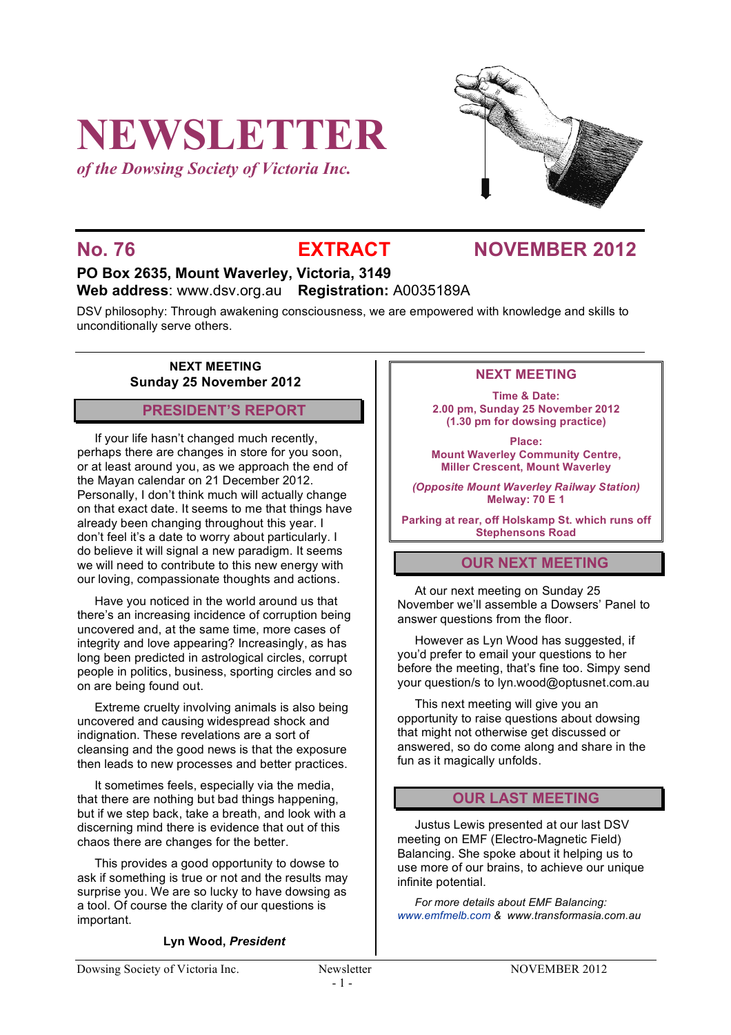# **NEWSLETTER**

*of the Dowsing Society of Victoria Inc.*



# **No. 76 EXTRACT NOVEMBER 2012**

# **PO Box 2635, Mount Waverley, Victoria, 3149 Web address**: www.dsv.org.au **Registration:** A0035189A

DSV philosophy: Through awakening consciousness, we are empowered with knowledge and skills to unconditionally serve others.

# **NEXT MEETING Sunday 25 November 2012**

# **PRESIDENT'S REPORT**

If your life hasn't changed much recently, perhaps there are changes in store for you soon, or at least around you, as we approach the end of the Mayan calendar on 21 December 2012. Personally, I don't think much will actually change on that exact date. It seems to me that things have already been changing throughout this year. I don't feel it's a date to worry about particularly. I do believe it will signal a new paradigm. It seems we will need to contribute to this new energy with our loving, compassionate thoughts and actions.

Have you noticed in the world around us that there's an increasing incidence of corruption being uncovered and, at the same time, more cases of integrity and love appearing? Increasingly, as has long been predicted in astrological circles, corrupt people in politics, business, sporting circles and so on are being found out.

Extreme cruelty involving animals is also being uncovered and causing widespread shock and indignation. These revelations are a sort of cleansing and the good news is that the exposure then leads to new processes and better practices.

It sometimes feels, especially via the media, that there are nothing but bad things happening, but if we step back, take a breath, and look with a discerning mind there is evidence that out of this chaos there are changes for the better.

This provides a good opportunity to dowse to ask if something is true or not and the results may surprise you. We are so lucky to have dowsing as a tool. Of course the clarity of our questions is important.

# **Lyn Wood,** *President*

# **NEXT MEETING**

**Time & Date: 2.00 pm, Sunday 25 November 2012 (1.30 pm for dowsing practice)**

**Place: Mount Waverley Community Centre, Miller Crescent, Mount Waverley**

*(Opposite Mount Waverley Railway Station)* **Melway: 70 E 1**

**Parking at rear, off Holskamp St. which runs off Stephensons Road**

# **OUR NEXT MEETING**

At our next meeting on Sunday 25 November we'll assemble a Dowsers' Panel to answer questions from the floor.

However as Lyn Wood has suggested, if you'd prefer to email your questions to her before the meeting, that's fine too. Simpy send your question/s to lyn.wood@optusnet.com.au

This next meeting will give you an opportunity to raise questions about dowsing that might not otherwise get discussed or answered, so do come along and share in the fun as it magically unfolds.

# **OUR LAST MEETING**

Justus Lewis presented at our last DSV meeting on EMF (Electro-Magnetic Field) Balancing. She spoke about it helping us to use more of our brains, to achieve our unique infinite potential.

*For more details about EMF Balancing: www.emfmelb.com & www.transformasia.com.au*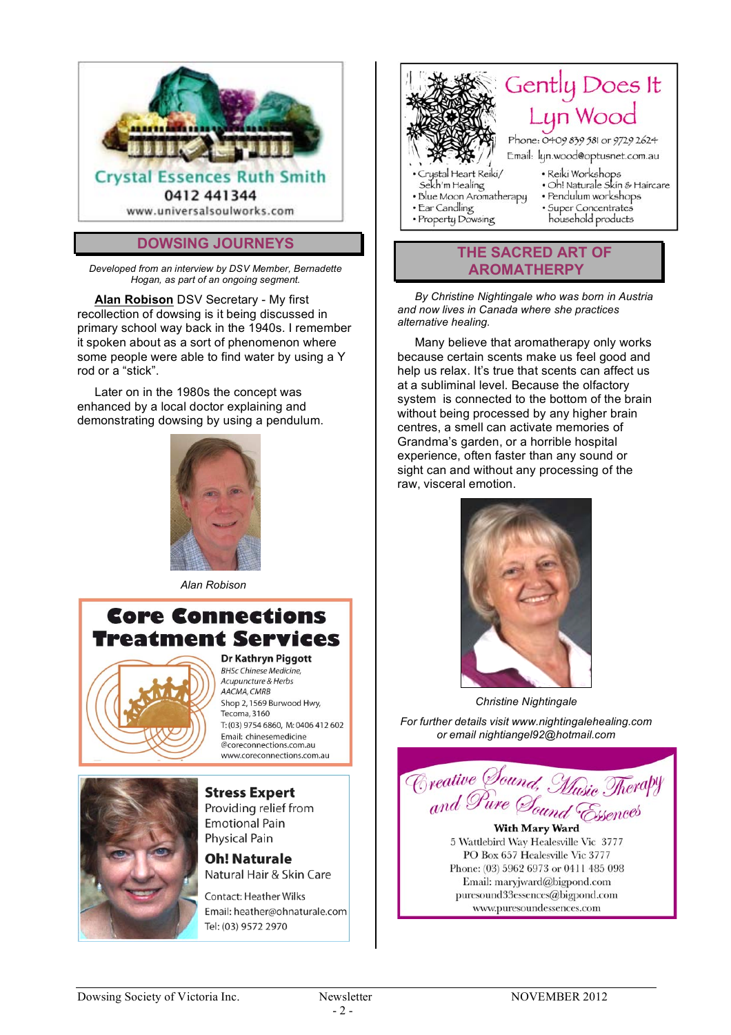

# **DOWSING JOURNEYS**

*Developed from an interview by DSV Member, Bernadette Hogan, as part of an ongoing segment.*

**Alan Robison** DSV Secretary - My first recollection of dowsing is it being discussed in primary school way back in the 1940s. I remember it spoken about as a sort of phenomenon where some people were able to find water by using a Y rod or a "stick".

Later on in the 1980s the concept was enhanced by a local doctor explaining and demonstrating dowsing by using a pendulum.



 *Alan Robison*

# **Core Connections Treatment Services**



# **Dr Kathryn Piggott**

BHSc Chinese Medicine. Acupuncture & Herbs AACMA, CMRB Shop 2, 1569 Burwood Hwy, Tecoma, 3160 T: (03) 9754 6860, M: 0406 412 602 Email: chinesemedicine Proreconnections.com.au www.coreconnections.com.au



### **Stress Expert** Providing relief from **Emotional Pain Physical Pain**

# **Oh! Naturale** Natural Hair & Skin Care

Contact: Heather Wilks Email: heather@ohnaturale.com Tel: (03) 9572 2970



household products

# **THE SACRED ART OF AROMATHERPY**

*By Christine Nightingale who was born in Austria and now lives in Canada where she practices alternative healing.*

Many believe that aromatherapy only works because certain scents make us feel good and help us relax. It's true that scents can affect us at a subliminal level. Because the olfactory system is connected to the bottom of the brain without being processed by any higher brain centres, a smell can activate memories of Grandma's garden, or a horrible hospital experience, often faster than any sound or sight can and without any processing of the raw, visceral emotion.



*Christine Nightingale*

*For further details visit www.nightingalehealing.com or email nightiangel92@hotmail.com*



**With Mary Ward** 5 Wattlebird Way Healesville Vic 3777 PO Box 657 Healesville Vic 3777 Phone: (03) 5962 6973 or 0411 485 098 Email: maryjward@bigpond.com puresound33essences@bigpond.com www.puresoundessences.com